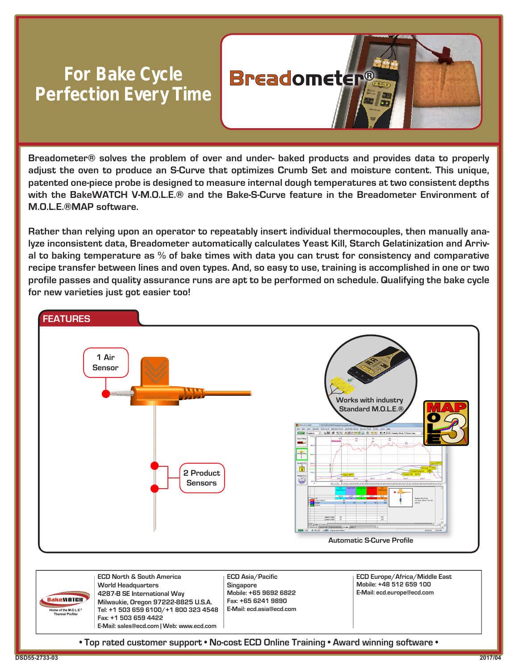## **For Bake Cycle Perfection Every Time**



**Breadometer® solves the problem of over and under- baked products and provides data to properly adjust the oven to produce an S-Curve that optimizes Crumb Set and moisture content. This unique, patented one-piece probe is designed to measure internal dough temperatures at two consistent depths with the BakeWATCH V-M.O.L.E.® and the Bake-S-Curve feature in the Breadometer Environment of M.O.L.E.®MAP software.**

**Rather than relying upon an operator to repeatably insert individual thermocouples, then manually analyze inconsistent data, Breadometer automatically calculates Yeast Kill, Starch Gelatinization and Arrival to baking temperature as % of bake times with data you can trust for consistency and comparative recipe transfer between lines and oven types. And, so easy to use, training is accomplished in one or two profile passes and quality assurance runs are apt to be performed on schedule. Qualifying the bake cycle for new varieties just got easier too!**





**• Top rated customer support • No-cost ECD Online Training • Award winning software •**